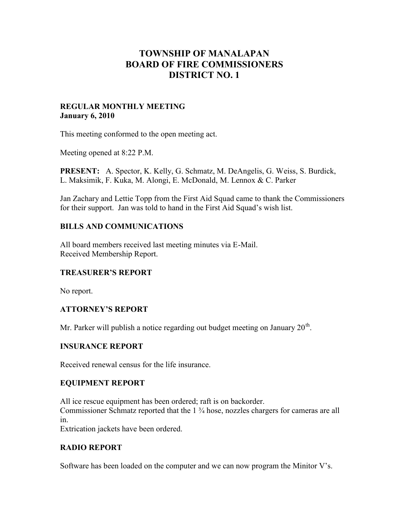# **TOWNSHIP OF MANALAPAN BOARD OF FIRE COMMISSIONERS DISTRICT NO. 1**

#### **REGULAR MONTHLY MEETING January 6, 2010**

This meeting conformed to the open meeting act.

Meeting opened at 8:22 P.M.

**PRESENT:** A. Spector, K. Kelly, G. Schmatz, M. DeAngelis, G. Weiss, S. Burdick, L. Maksimik, F. Kuka, M. Alongi, E. McDonald, M. Lennox & C. Parker

Jan Zachary and Lettie Topp from the First Aid Squad came to thank the Commissioners for their support. Jan was told to hand in the First Aid Squad's wish list.

#### **BILLS AND COMMUNICATIONS**

All board members received last meeting minutes via E-Mail. Received Membership Report.

### **TREASURER'S REPORT**

No report.

#### **ATTORNEY'S REPORT**

Mr. Parker will publish a notice regarding out budget meeting on January  $20^{\text{th}}$ .

#### **INSURANCE REPORT**

Received renewal census for the life insurance.

#### **EQUIPMENT REPORT**

All ice rescue equipment has been ordered; raft is on backorder. Commissioner Schmatz reported that the 1 ¾ hose, nozzles chargers for cameras are all in.

Extrication jackets have been ordered.

### **RADIO REPORT**

Software has been loaded on the computer and we can now program the Minitor V's.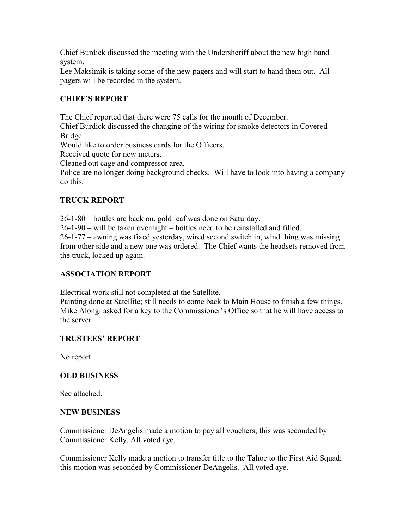Chief Burdick discussed the meeting with the Undersheriff about the new high band system.

Lee Maksimik is taking some of the new pagers and will start to hand them out. All pagers will be recorded in the system.

### **CHIEF'S REPORT**

The Chief reported that there were 75 calls for the month of December.

Chief Burdick discussed the changing of the wiring for smoke detectors in Covered Bridge.

Would like to order business cards for the Officers.

Received quote for new meters.

Cleaned out cage and compressor area.

Police are no longer doing background checks. Will have to look into having a company do this.

## **TRUCK REPORT**

26-1-80 – bottles are back on, gold leaf was done on Saturday.

26-1-90 – will be taken overnight – bottles need to be reinstalled and filled.

26-1-77 – awning was fixed yesterday, wired second switch in, wind thing was missing from other side and a new one was ordered. The Chief wants the headsets removed from the truck, locked up again.

### **ASSOCIATION REPORT**

Electrical work still not completed at the Satellite.

Painting done at Satellite; still needs to come back to Main House to finish a few things. Mike Alongi asked for a key to the Commissioner's Office so that he will have access to the server.

### **TRUSTEES' REPORT**

No report.

### **OLD BUSINESS**

See attached.

#### **NEW BUSINESS**

Commissioner DeAngelis made a motion to pay all vouchers; this was seconded by Commissioner Kelly. All voted aye.

Commissioner Kelly made a motion to transfer title to the Tahoe to the First Aid Squad; this motion was seconded by Commissioner DeAngelis. All voted aye.